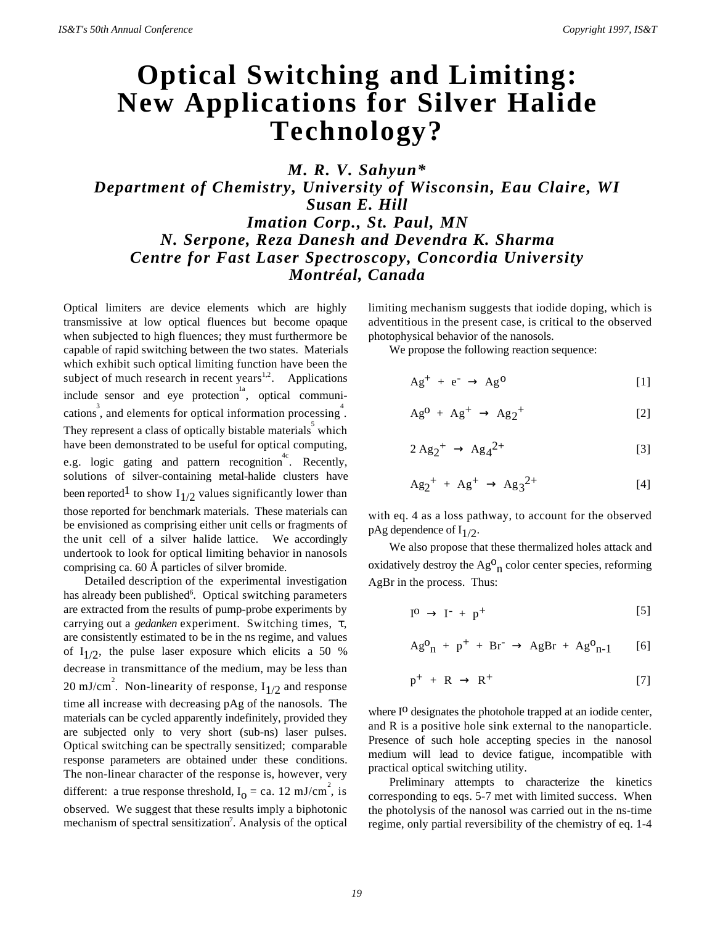## **Optical Switching and Limiting: New Applications for Silver Halide Technology?**

*M. R. V. Sahyun\* Department of Chemistry, University of Wisconsin, Eau Claire, WI Susan E. Hill Imation Corp., St. Paul, MN N. Serpone, Reza Danesh and Devendra K. Sharma Centre for Fast Laser Spectroscopy, Concordia University Montréal, Canada*

Optical limiters are device elements which are highly transmissive at low optical fluences but become opaque when subjected to high fluences; they must furthermore be capable of rapid switching between the two states. Materials which exhibit such optical limiting function have been the subject of much research in recent years $1.2$ . Applications include sensor and eye protection<sup>1a</sup>, optical communications<sup>3</sup>, and elements for optical information processing<sup>4</sup>. They represent a class of optically bistable materials which have been demonstrated to be useful for optical computing, e.g. logic gating and pattern recognition<sup>4c</sup>. Recently, solutions of silver-containing metal-halide clusters have been reported<sup>1</sup> to show  $I_{1/2}$  values significantly lower than those reported for benchmark materials. These materials can be envisioned as comprising either unit cells or fragments of the unit cell of a silver halide lattice. We accordingly undertook to look for optical limiting behavior in nanosols comprising ca. 60 Å particles of silver bromide.

Detailed description of the experimental investigation has already been published<sup>6</sup>. Optical switching parameters are extracted from the results of pump-probe experiments by carrying out a *gedanken* experiment. Switching times, τ, are consistently estimated to be in the ns regime, and values of  $I_{1/2}$ , the pulse laser exposure which elicits a 50 % decrease in transmittance of the medium, may be less than 20 mJ/cm<sup>2</sup>. Non-linearity of response,  $I_{1/2}$  and response time all increase with decreasing pAg of the nanosols. The materials can be cycled apparently indefinitely, provided they are subjected only to very short (sub-ns) laser pulses. Optical switching can be spectrally sensitized; comparable response parameters are obtained under these conditions. The non-linear character of the response is, however, very different: a true response threshold,  $I_0 = ca$ . 12 mJ/cm<sup>2</sup>, is observed. We suggest that these results imply a biphotonic mechanism of spectral sensitization<sup>7</sup>. Analysis of the optical

limiting mechanism suggests that iodide doping, which is adventitious in the present case, is critical to the observed photophysical behavior of the nanosols.

We propose the following reaction sequence:

$$
Ag^{+} + e^{-} \rightarrow Ag^{0}
$$
 [1]

$$
Ag^0 + Ag^+ \rightarrow Ag_2^+ \tag{2}
$$

$$
2 \text{ Ag}_2^+ \rightarrow \text{Ag}_4^{2+} \tag{3}
$$

$$
Ag_2^+ + Ag^+ \to Ag_3^{2+} \tag{4}
$$

with eq. 4 as a loss pathway, to account for the observed pAg dependence of  $I_{1/2}$ .

We also propose that these thermalized holes attack and oxidatively destroy the Ag<sup>o</sup><sub>n</sub> color center species, reforming AgBr in the process. Thus:

$$
I^0 \rightarrow I^- + p^+ \tag{5}
$$

$$
Ag^{0}{}_{n} + p^{+} + Br^{-} \rightarrow AgBr + Ag^{0}{}_{n-1} \qquad [6]
$$

$$
p^+ + R \rightarrow R^+ \tag{7}
$$

where  $I^{\circ}$  designates the photohole trapped at an iodide center, and R is a positive hole sink external to the nanoparticle. Presence of such hole accepting species in the nanosol medium will lead to device fatigue, incompatible with practical optical switching utility.

Preliminary attempts to characterize the kinetics corresponding to eqs. 5-7 met with limited success. When the photolysis of the nanosol was carried out in the ns-time regime, only partial reversibility of the chemistry of eq. 1-4